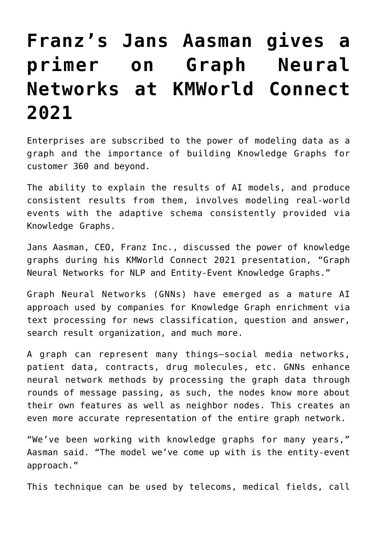## **[Franz's Jans Aasman gives a](https://allegrograph.com/articles/franzs-jans-aasman-gives-a-primer-on-graph-neural-networks-at-kmworld-connect-2021-2/) [primer on Graph Neural](https://allegrograph.com/articles/franzs-jans-aasman-gives-a-primer-on-graph-neural-networks-at-kmworld-connect-2021-2/) [Networks at KMWorld Connect](https://allegrograph.com/articles/franzs-jans-aasman-gives-a-primer-on-graph-neural-networks-at-kmworld-connect-2021-2/) [2021](https://allegrograph.com/articles/franzs-jans-aasman-gives-a-primer-on-graph-neural-networks-at-kmworld-connect-2021-2/)**

Enterprises are subscribed to the power of modeling data as a graph and the importance of building Knowledge Graphs for customer 360 and beyond.

The ability to explain the results of AI models, and produce consistent results from them, involves modeling real-world events with the adaptive schema consistently provided via Knowledge Graphs.

Jans Aasman, CEO, Franz Inc., discussed the power of knowledge graphs during his KMWorld Connect 2021 presentation, "Graph Neural Networks for NLP and Entity-Event Knowledge Graphs."

Graph Neural Networks (GNNs) have emerged as a mature AI approach used by companies for Knowledge Graph enrichment via text processing for news classification, question and answer, search result organization, and much more.

A graph can represent many things—social media networks, patient data, contracts, drug molecules, etc. GNNs enhance neural network methods by processing the graph data through rounds of message passing, as such, the nodes know more about their own features as well as neighbor nodes. This creates an even more accurate representation of the entire graph network.

"We've been working with knowledge graphs for many years," Aasman said. "The model we've come up with is the entity-event approach."

This technique can be used by telecoms, medical fields, call